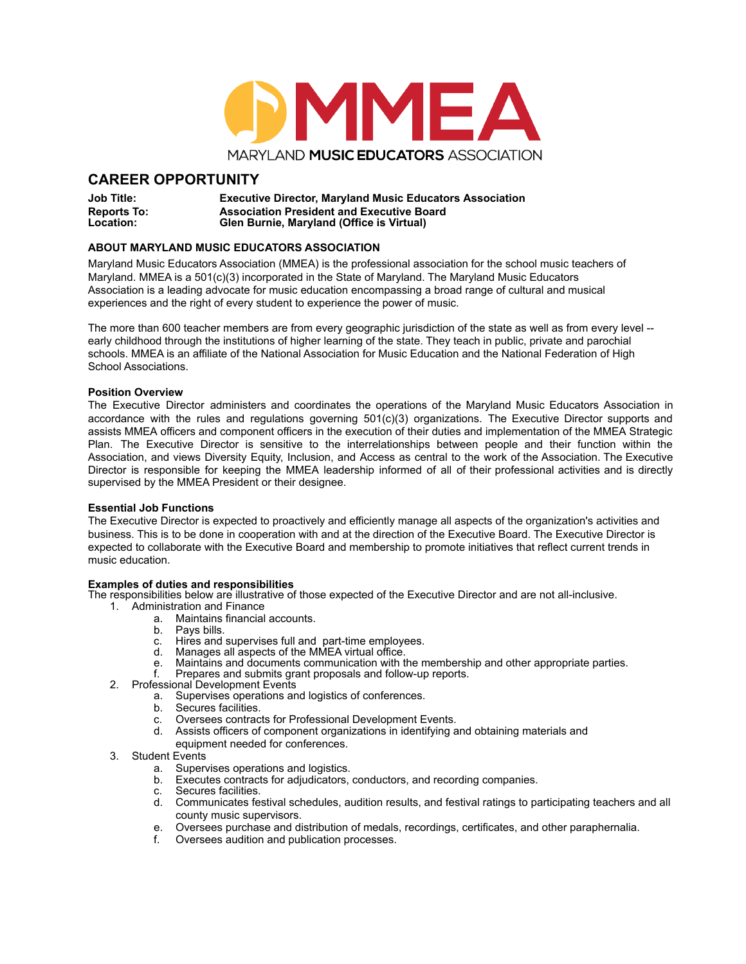

# **CAREER OPPORTUNITY**

**Job Title: Executive Director, Maryland Music Educators Association Reports To: Association President and Executive Board Location: Glen Burnie, Maryland (Office is Virtual)**

## **ABOUT MARYLAND MUSIC EDUCATORS ASSOCIATION**

Maryland Music Educators Association (MMEA) is the professional association for the school music teachers of Maryland. MMEA is a 501(c)(3) incorporated in the State of Maryland. The Maryland Music Educators Association is a leading advocate for music education encompassing a broad range of cultural and musical experiences and the right of every student to experience the power of music.

The more than 600 teacher members are from every geographic jurisdiction of the state as well as from every level - early childhood through the institutions of higher learning of the state. They teach in public, private and parochial schools. MMEA is an affiliate of the National Association for Music Education and the National Federation of High School Associations.

#### **Position Overview**

The Executive Director administers and coordinates the operations of the Maryland Music Educators Association in accordance with the rules and regulations governing 501(c)(3) organizations. The Executive Director supports and assists MMEA officers and component officers in the execution of their duties and implementation of the MMEA Strategic Plan. The Executive Director is sensitive to the interrelationships between people and their function within the Association, and views Diversity Equity, Inclusion, and Access as central to the work of the Association. The Executive Director is responsible for keeping the MMEA leadership informed of all of their professional activities and is directly supervised by the MMEA President or their designee.

### **Essential Job Functions**

The Executive Director is expected to proactively and efficiently manage all aspects of the organization's activities and business. This is to be done in cooperation with and at the direction of the Executive Board. The Executive Director is expected to collaborate with the Executive Board and membership to promote initiatives that reflect current trends in music education.

#### **Examples of duties and responsibilities**

The responsibilities below are illustrative of those expected of the Executive Director and are not all-inclusive.

- 1. Administration and Finance
	- a. Maintains financial accounts.<br>b. Pays bills.
		- b. Pays bills.<br>c. Hires and
		- c. Hires and supervises full and part-time employees.<br>d. Manages all aspects of the MMEA virtual office.
		- d. Manages all aspects of the MMEA virtual office.
		- e. Maintains and documents communication with the membership and other appropriate parties.
		- Prepares and submits grant proposals and follow-up reports.
- 2. Professional Development Events<br>a. Supervises operations an
	- Supervises operations and logistics of conferences.
	- b. Secures facilities.
	- c. Oversees contracts for Professional Development Events.
	- d. Assists officers of component organizations in identifying and obtaining materials and equipment needed for conferences.
- 3. Student Events
	- a. Supervises operations and logistics.
	- b. Executes contracts for adjudicators, conductors, and recording companies.
	- c. Secures facilities.<br>d. Communicates fe
	- Communicates festival schedules, audition results, and festival ratings to participating teachers and all county music supervisors.
	- e. Oversees purchase and distribution of medals, recordings, certificates, and other paraphernalia.
	- f. Oversees audition and publication processes.